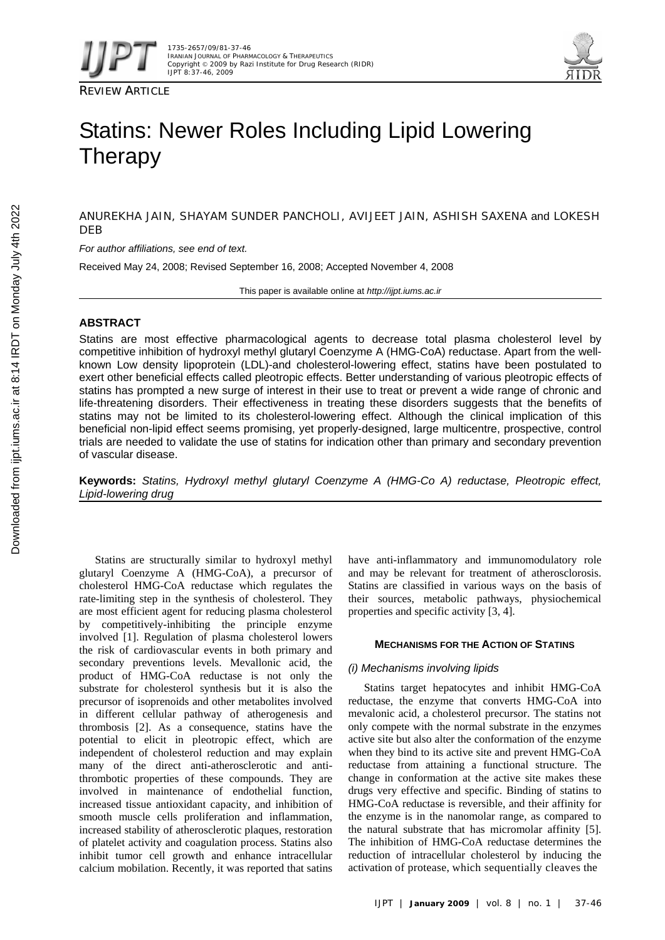





# Statins: Newer Roles Including Lipid Lowering **Therapy**

ANUREKHA JAIN, SHAYAM SUNDER PANCHOLI, AVIJEET JAIN, ASHISH SAXENA and LOKESH **DEB** 

*For author affiliations, see end of text.* 

Received May 24, 2008; Revised September 16, 2008; Accepted November 4, 2008

This paper is available online at *http://ijpt.iums.ac.ir*

# **ABSTRACT**

Statins are most effective pharmacological agents to decrease total plasma cholesterol level by competitive inhibition of hydroxyl methyl glutaryl Coenzyme A (HMG-CoA) reductase. Apart from the wellknown Low density lipoprotein (LDL)-and cholesterol-lowering effect, statins have been postulated to exert other beneficial effects called pleotropic effects. Better understanding of various pleotropic effects of statins has prompted a new surge of interest in their use to treat or prevent a wide range of chronic and life-threatening disorders. Their effectiveness in treating these disorders suggests that the benefits of statins may not be limited to its cholesterol-lowering effect. Although the clinical implication of this beneficial non-lipid effect seems promising, yet properly-designed, large multicentre, prospective, control trials are needed to validate the use of statins for indication other than primary and secondary prevention of vascular disease.

**Keywords:** *Statins, Hydroxyl methyl glutaryl Coenzyme A (HMG-Co A) reductase, Pleotropic effect, Lipid-lowering drug* 

Statins are structurally similar to hydroxyl methyl glutaryl Coenzyme A (HMG-CoA), a precursor of cholesterol HMG-CoA reductase which regulates the rate-limiting step in the synthesis of cholesterol. They are most efficient agent for reducing plasma cholesterol by competitively-inhibiting the principle enzyme involved [1]. Regulation of plasma cholesterol lowers the risk of cardiovascular events in both primary and secondary preventions levels. Mevallonic acid, the product of HMG-CoA reductase is not only the substrate for cholesterol synthesis but it is also the precursor of isoprenoids and other metabolites involved in different cellular pathway of atherogenesis and thrombosis [2]. As a consequence, statins have the potential to elicit in pleotropic effect, which are independent of cholesterol reduction and may explain many of the direct anti-atherosclerotic and antithrombotic properties of these compounds. They are involved in maintenance of endothelial function, increased tissue antioxidant capacity, and inhibition of smooth muscle cells proliferation and inflammation, increased stability of atherosclerotic plaques, restoration of platelet activity and coagulation process. Statins also inhibit tumor cell growth and enhance intracellular calcium mobilation. Recently, it was reported that satins

have anti-inflammatory and immunomodulatory role and may be relevant for treatment of atherosclorosis. Statins are classified in various ways on the basis of their sources, metabolic pathways, physiochemical properties and specific activity [3, 4].

## **MECHANISMS FOR THE ACTION OF STATINS**

## *(i) Mechanisms involving lipids*

Statins target hepatocytes and inhibit HMG-CoA reductase, the enzyme that converts HMG-CoA into mevalonic acid, a cholesterol precursor. The statins not only compete with the normal substrate in the enzymes active site but also alter the conformation of the enzyme when they bind to its active site and prevent HMG-CoA reductase from attaining a functional structure. The change in conformation at the active site makes these drugs very effective and specific. Binding of statins to HMG-CoA reductase is reversible, and their affinity for the enzyme is in the nanomolar range, as compared to the natural substrate that has micromolar affinity [5]. The inhibition of HMG-CoA reductase determines the reduction of intracellular cholesterol by inducing the activation of protease, which sequentially cleaves the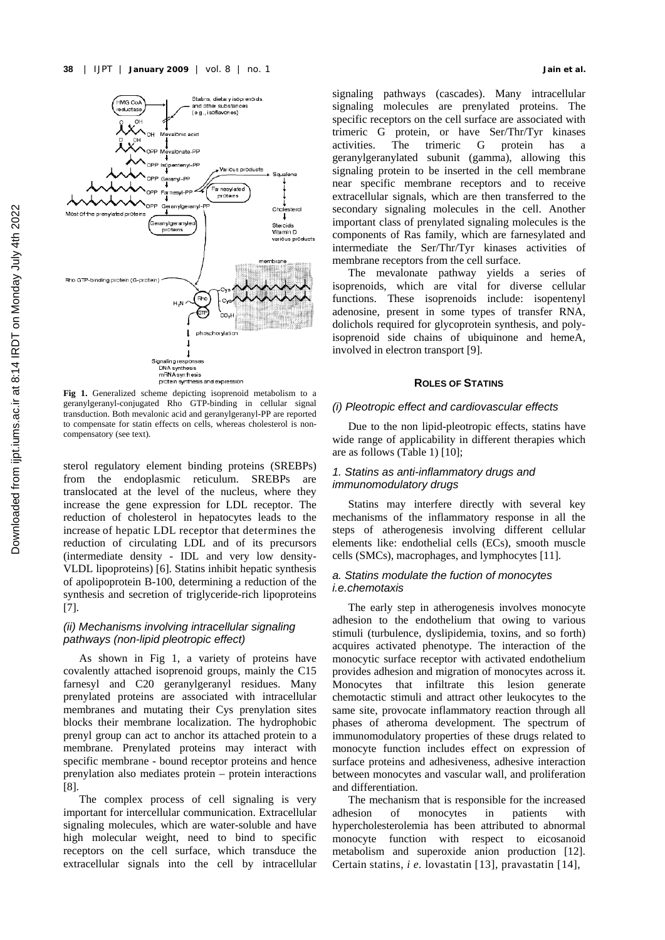

**Fig 1.** Generalized scheme depicting isoprenoid metabolism to a geranylgeranyl-conjugated Rho GTP-binding in cellular signal transduction. Both mevalonic acid and geranylgeranyl-PP are reported to compensate for statin effects on cells, whereas cholesterol is noncompensatory (see text).

sterol regulatory element binding proteins (SREBPs) from the endoplasmic reticulum. SREBPs are translocated at the level of the nucleus, where they increase the gene expression for LDL receptor. The reduction of cholesterol in hepatocytes leads to the increase of hepatic LDL receptor that determines the reduction of circulating LDL and of its precursors (intermediate density - IDL and very low density-VLDL lipoproteins) [6]. Statins inhibit hepatic synthesis of apolipoprotein B-100, determining a reduction of the synthesis and secretion of triglyceride-rich lipoproteins  $[7]$ .

# *(ii) Mechanisms involving intracellular signaling pathways (non-lipid pleotropic effect)*

As shown in Fig 1, a variety of proteins have covalently attached isoprenoid groups, mainly the C15 farnesyl and C20 geranylgeranyl residues. Many prenylated proteins are associated with intracellular membranes and mutating their Cys prenylation sites blocks their membrane localization. The hydrophobic prenyl group can act to anchor its attached protein to a membrane. Prenylated proteins may interact with specific membrane - bound receptor proteins and hence prenylation also mediates protein – protein interactions [ 8].

The complex process of cell signaling is very important for intercellular communication. Extracellular signaling molecules, which are water-soluble and have high molecular weight, need to bind to specific receptors on the cell surface, which transduce the extracellular signals into the cell by intracellular signaling pathways (cascades). Many intracellular signaling molecules are prenylated proteins. The specific receptors on the cell surface are associated with trimeric G protein, or have Ser/Thr/Tyr kinases<br>activities. The trimeric G protein has a activities. The trimeric G protein has a geranylgeranylated subunit (gamma), allowing this signaling protein to be inserted in the cell membrane near specific membrane receptors and to receive extracellular signals, which are then transferred to the secondary signaling molecules in the cell. Another important class of prenylated signaling molecules is the components of Ras family, which are farnesylated and intermediate the Ser/Thr/Tyr kinases activities of membrane receptors from the cell surface.

The mevalonate pathway yields a series of isoprenoids, which are vital for diverse cellular functions. These isoprenoids include: isopentenyl adenosine, present in some types of transfer RNA, dolichols required for glycoprotein synthesis, and polyisoprenoid side chains of ubiquinone and hemeA, involved in electron transport [9].

#### **ROLES OF STATINS**

#### *(i) Pleotropic effect and cardiovascular effects*

Due to the non lipid-pleotropic effects, statins have wide range of applicability in different therapies which are as follows (Table 1) [10];

# *1. Statins as anti-inflammatory drugs and immunomodulatory drugs*

Statins may interfere directly with several key mechanisms of the inflammatory response in all the steps of atherogenesis involving different cellular elements like: endothelial cells (ECs), smooth muscle cells (SMCs), macrophages, and lymphocytes [ 11].

## *a. Statins modulate the fuction of monocytes i.e.chemotaxis*

The early step in atherogenesis involves monocyte adhesion to the endothelium that owing to various stimuli (turbulence, dyslipidemia, toxins, and so forth) acquires activated phenotype. The interaction of the monocytic surface receptor with activated endothelium provides adhesion and migration of monocytes across it. Monocytes that infiltrate this lesion generate chemotactic stimuli and attract other leukocytes to the same site, provocate inflammatory reaction through all phases of atheroma development. The spectrum of immunomodulatory properties of these drugs related to monocyte function includes effect on expression of surface proteins and adhesiveness, adhesive interaction between monocytes and vascular wall, and proliferation and differentiation.

The mechanism that is responsible for the increased adhesion of monocytes in patients with hypercholesterolemia has been attributed to abnormal monocyte function with respect to eicosanoid metabolism and superoxide anion production [12]. Certain statins, *i e.* lovastatin [ 13], pravastatin [ 14],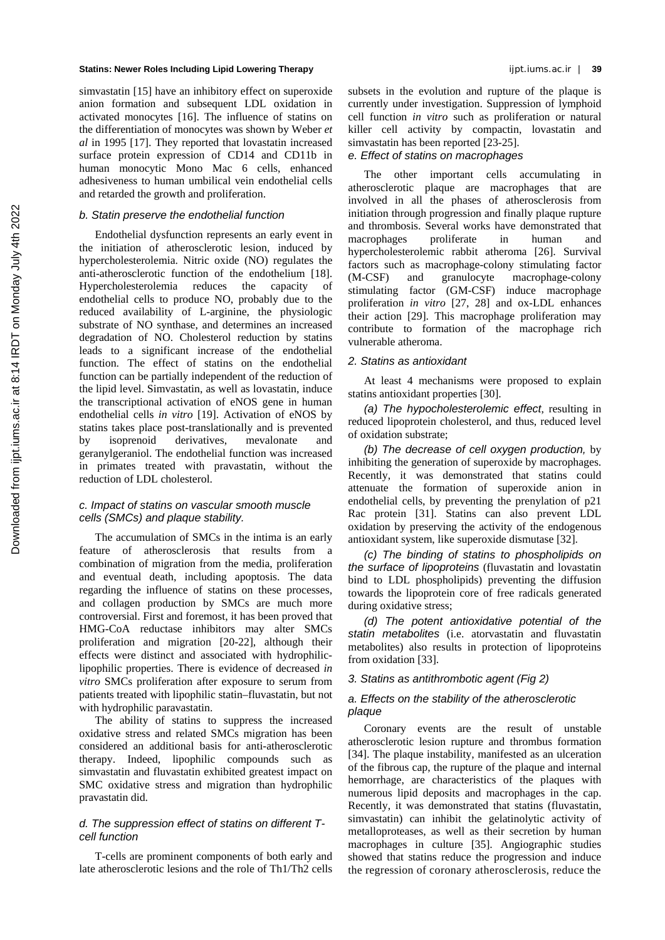simvastatin [15] have an inhibitory effect on superoxide anion formation and subsequent LDL oxidation in activated monocytes [ 16]. The influence of statins on the differentiation of monocytes was shown by Weber *et al* in 1995 [17]. They reported that lovastatin increased surface protein expression of CD14 and CD11b in human monocytic Mono Mac 6 cells, enhanced adhesiveness to human umbilical vein endothelial cells and retarded the growth and proliferation.

## *b. Statin preserve the endothelial function*

Endothelial dysfunction represents an early event in the initiation of atherosclerotic lesion, induced by hypercholesterolemia. Nitric oxide (NO) regulates the anti-atherosclerotic function of the endothelium [18]. Hypercholesterolemia reduces the capacity of endothelial cells to produce NO, probably due to the reduced availability of L-arginine, the physiologic substrate of NO synthase, and determines an increased degradation of NO. Cholesterol reduction by statins leads to a significant increase of the endothelial function. The effect of statins on the endothelial function can be partially independent of the reduction of the lipid level. Simvastatin, as well as lovastatin, induce the transcriptional activation of eNOS gene in human endothelial cells *in vitro* [19]. Activation of eNOS by statins takes place post-translationally and is prevented by isoprenoid derivatives, mevalonate and geranylgeraniol. The endothelial function was increased in primates treated with pravastatin, without the reduction of LDL cholesterol.

## *c. Impact of statins on vascular smooth muscle cells (SMCs) and plaque stability.*

The accumulation of SMCs in the intima is an early feature of atherosclerosis that results from a combination of migration from the media, proliferation and eventual death, including apoptosis. The data regarding the influence of statins on these processes, and collagen production by SMCs are much more controversial. First and foremost, it has been proved that HMG-CoA reductase inhibitors may alter SMCs proliferation and migration [20-22], although their effects were distinct and associated with hydrophiliclipophilic properties. There is evidence of decreased *in vitro* SMCs proliferation after exposure to serum from patients treated with lipophilic statin–fluvastatin, but not with hydrophilic paravastatin.

The ability of statins to suppress the increased oxidative stress and related SMCs migration has been considered an additional basis for anti-atherosclerotic therapy. Indeed, lipophilic compounds such as simvastatin and fluvastatin exhibited greatest impact on SMC oxidative stress and migration than hydrophilic pravastatin did.

# *d. The suppression effect of statins on different Tcell function*

T-cells are prominent components of both early and late atherosclerotic lesions and the role of Th1/Th2 cells subsets in the evolution and rupture of the plaque is currently under investigation. Suppression of lymphoid cell function *in vitro* such as proliferation or natural killer cell activity by compactin, lovastatin and simvastatin has been reported  $[23-25]$ .

## *e. Effect of statins on macrophages*

The other important cells accumulating in atherosclerotic plaque are macrophages that are involved in all the phases of atherosclerosis from initiation through progression and finally plaque rupture and thrombosis. Several works have demonstrated that macrophages proliferate in human and hypercholesterolemic rabbit atheroma [26]. Survival factors such as macrophage-colony stimulating factor (M-CSF) and granulocyte macrophage-colony stimulating factor (GM-CSF) induce macrophage proliferation *in vitro* [27, 28] and ox-LDL enhances their action [29]. This macrophage proliferation may contribute to formation of the macrophage rich vulnerable atheroma.

## *2. Statins as antioxidant*

At least 4 mechanisms were proposed to explain statins antioxidant properties [30].

*(a) The hypocholesterolemic effect*, resulting in reduced lipoprotein cholesterol, and thus, reduced level of oxidation substrate;

*(b) The decrease of cell oxygen production,* by inhibiting the generation of superoxide by macrophages. Recently, it was demonstrated that statins could attenuate the formation of superoxide anion in endothelial cells, by preventing the prenylation of p21 Rac protein [31]. Statins can also prevent LDL oxidation by preserving the activity of the endogenous antioxidant system, like superoxide dismutase [ 32].

*(c) The binding of statins to phospholipids on the surface of lipoproteins* (fluvastatin and lovastatin bind to LDL phospholipids) preventing the diffusion towards the lipoprotein core of free radicals generated during oxidative stress;

*(d) The potent antioxidative potential of the statin metabolites* (i.e. atorvastatin and fluvastatin metabolites) also results in protection of lipoproteins from oxidation [33].

# *3. Statins as antithrombotic agent (Fig 2)*

## *a. Effects on the stability of the atherosclerotic plaque*

Coronary events are the result of unstable atherosclerotic lesion rupture and thrombus formation [34]. The plaque instability, manifested as an ulceration of the fibrous cap, the rupture of the plaque and internal hemorrhage, are characteristics of the plaques with numerous lipid deposits and macrophages in the cap. Recently, it was demonstrated that statins (fluvastatin, simvastatin) can inhibit the gelatinolytic activity of metalloproteases, as well as their secretion by human macrophages in culture [ 35]. Angiographic studies showed that statins reduce the progression and induce the regression of coronary atherosclerosis, reduce the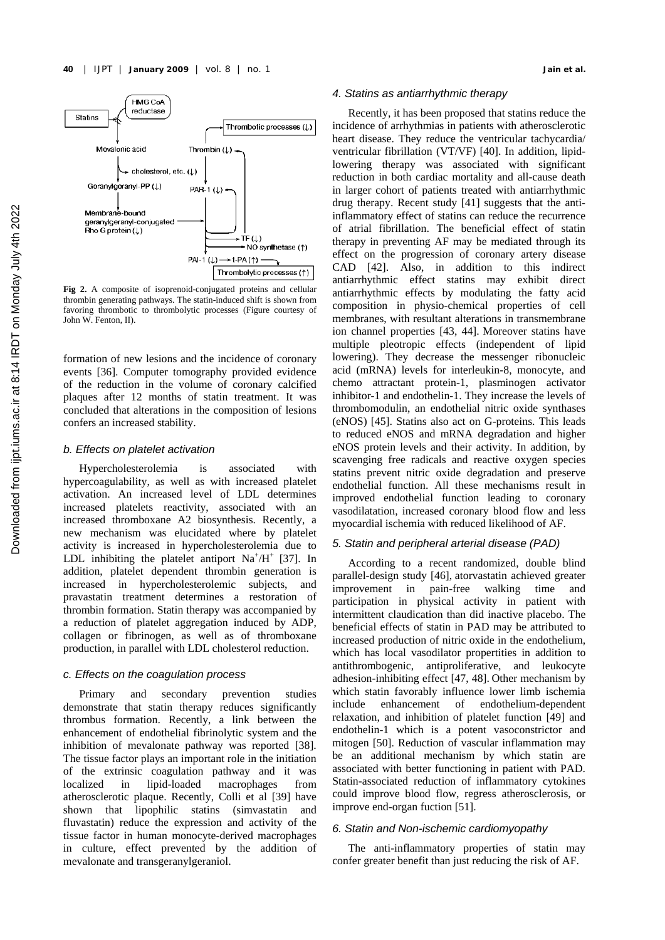

**Fig 2.** A composite of isoprenoid-conjugated proteins and cellular thrombin generating pathways. The statin-induced shift is shown from favoring thrombotic to thrombolytic processes (Figure courtesy of John W. Fenton, II).

formation of new lesions and the incidence of coronary events [ 36]. Computer tomography provided evidence of the reduction in the volume of coronary calcified plaques after 12 months of statin treatment. It was concluded that alterations in the composition of lesions confers an increased stability.

#### *b. Effects on platelet activation*

Hypercholesterolemia is associated with hypercoagulability, as well as with increased platelet activation. An increased level of LDL determines increased platelets reactivity, associated with an increased thromboxane A2 biosynthesis. Recently, a new mechanism was elucidated where by platelet activity is increased in hypercholesterolemia due to LDL inhibiting the platelet antiport  $Na^+/H^+$  [37]. In addition, platelet dependent thrombin generation is increased in hypercholesterolemic subjects, and pravastatin treatment determines a restoration of thrombin formation. Statin therapy was accompanied by a reduction of platelet aggregation induced by ADP, collagen or fibrinogen, as well as of thromboxane production, in parallel with LDL cholesterol reduction.

#### *c. Effects on the coagulation process*

Primary and secondary prevention studies demonstrate that statin therapy reduces significantly thrombus formation. Recently, a link between the enhancement of endothelial fibrinolytic system and the inhibition of mevalonate pathway was reported [38]. The tissue factor plays an important role in the initiation of the extrinsic coagulation pathway and it was localized in lipid-loaded macrophages from atherosclerotic plaque. Recently, Colli et al [39] have shown that lipophilic statins (simvastatin and fluvastatin) reduce the expression and activity of the tissue factor in human monocyte-derived macrophages in culture, effect prevented by the addition of mevalonate and transgeranylgeraniol.

#### *4. Statins as antiarrhythmic therapy*

Recently, it has been proposed that statins reduce the incidence of arrhythmias in patients with atherosclerotic heart disease. They reduce the ventricular tachycardia/ ventricular fibrillation (VT/VF) [40]. In addition, lipidlowering therapy was associated with significant reduction in both cardiac mortality and all-cause death in larger cohort of patients treated with antiarrhythmic drug therapy. Recent study [41] suggests that the antiinflammatory effect of statins can reduce the recurrence of atrial fibrillation. The beneficial effect of statin therapy in preventing AF may be mediated through its effect on the progression of coronary artery disease CAD [42]. Also, in addition to this indirect antiarrhythmic effect statins may exhibit direct antiarrhythmic effects by modulating the fatty acid composition in physio-chemical properties of cell membranes, with resultant alterations in transmembrane ion channel properties [ 43, 44]. Moreover statins have multiple pleotropic effects (independent of lipid lowering). They decrease the messenger ribonucleic acid (mRNA) levels for interleukin-8, monocyte, and chemo attractant protein-1, plasminogen activator inhibitor-1 and endothelin-1. They increase the levels of thrombomodulin, an endothelial nitric oxide synthases (eNOS) [ 45]. Statins also act on G-proteins. This leads to reduced eNOS and mRNA degradation and higher eNOS protein levels and their activity. In addition, by scavenging free radicals and reactive oxygen species statins prevent nitric oxide degradation and preserve endothelial function. All these mechanisms result in improved endothelial function leading to coronary vasodilatation, increased coronary blood flow and less myocardial ischemia with reduced likelihood of AF.

#### *5. Statin and peripheral arterial disease (PAD)*

According to a recent randomized, double blind parallel-design study [ 46], atorvastatin achieved greater improvement in pain-free walking time and participation in physical activity in patient with intermittent claudication than did inactive placebo. The beneficial effects of statin in PAD may be attributed to increased production of nitric oxide in the endothelium, which has local vasodilator propertities in addition to antithrombogenic, antiproliferative, and leukocyte adhesion-inhibiting effect [ 47, 48]. Other mechanism by which statin favorably influence lower limb ischemia include enhancement of endothelium-dependent relaxation, and inhibition of platelet function [ 49] and endothelin-1 which is a potent vasoconstrictor and mitogen [50]. Reduction of vascular inflammation may be an additional mechanism by which statin are associated with better functioning in patient with PAD. Statin-associated reduction of inflammatory cytokines could improve blood flow, regress atherosclerosis, or improve end-organ fuction [51].

# *6. Statin and Non-ischemic cardiomyopathy*

The anti-inflammatory properties of statin may confer greater benefit than just reducing the risk of AF.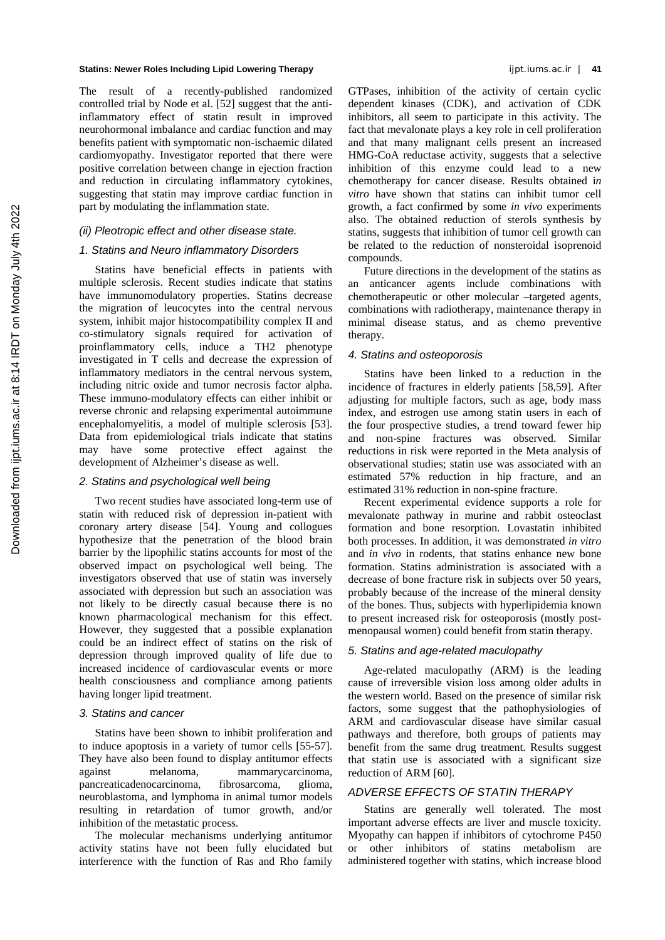The result of a recently-published randomized controlled trial by Node et al. [52] suggest that the antiinflammatory effect of statin result in improved neurohormonal imbalance and cardiac function and may benefits patient with symptomatic non-ischaemic dilated cardiomyopathy. Investigator reported that there were positive correlation between change in ejection fraction and reduction in circulating inflammatory cytokines, suggesting that statin may improve cardiac function in part by modulating the inflammation state.

## *(ii) Pleotropic effect and other disease state.*

## *1. Statins and Neuro inflammatory Disorders*

Statins have beneficial effects in patients with multiple sclerosis. Recent studies indicate that statins have immunomodulatory properties. Statins decrease the migration of leucocytes into the central nervous system, inhibit major histocompatibility complex II and co-stimulatory signals required for activation of proinflammatory cells, induce a TH2 phenotype investigated in T cells and decrease the expression of inflammatory mediators in the central nervous system, including nitric oxide and tumor necrosis factor alpha. These immuno-modulatory effects can either inhibit or reverse chronic and relapsing experimental autoimmune encephalomyelitis, a model of multiple sclerosis [53]. Data from epidemiological trials indicate that statins may have some protective effect against the development of Alzheimer's disease as well.

## *2. Statins and psychological well being*

Two recent studies have associated long-term use of statin with reduced risk of depression in-patient with coronary artery disease [54]. Young and collogues hypothesize that the penetration of the blood brain barrier by the lipophilic statins accounts for most of the observed impact on psychological well being. The investigators observed that use of statin was inversely associated with depression but such an association was not likely to be directly casual because there is no known pharmacological mechanism for this effect. However, they suggested that a possible explanation could be an indirect effect of statins on the risk of depression through improved quality of life due to increased incidence of cardiovascular events or more health consciousness and compliance among patients having longer lipid treatment.

#### *3. Statins and cancer*

Statins have been shown to inhibit proliferation and to induce apoptosis in a variety of tumor cells [55-57]. They have also been found to display antitumor effects against melanoma, mammarycarcinoma, pancreaticadenocarcinoma, fibrosarcoma, glioma, neuroblastoma, and lymphoma in animal tumor models resulting in retardation of tumor growth, and/or inhibition of the metastatic process.

The molecular mechanisms underlying antitumor activity statins have not been fully elucidated but interference with the function of Ras and Rho family

GTPases, inhibition of the activity of certain cyclic dependent kinases (CDK), and activation of CDK inhibitors, all seem to participate in this activity. The fact that mevalonate plays a key role in cell proliferation and that many malignant cells present an increased HMG-CoA reductase activity, suggests that a selective inhibition of this enzyme could lead to a new chemotherapy for cancer disease. Results obtained i*n vitro* have shown that statins can inhibit tumor cell growth, a fact confirmed by some *in vivo* experiments also. The obtained reduction of sterols synthesis by statins, suggests that inhibition of tumor cell growth can be related to the reduction of nonsteroidal isoprenoid compounds.

Future directions in the development of the statins as an anticancer agents include combinations with chemotherapeutic or other molecular –targeted agents, combinations with radiotherapy, maintenance therapy in minimal disease status, and as chemo preventive therapy.

## *4. Statins and osteoporosis*

Statins have been linked to a reduction in the incidence of fractures in elderly patients [58,59]. After adjusting for multiple factors, such as age, body mass index, and estrogen use among statin users in each of the four prospective studies, a trend toward fewer hip and non-spine fractures was observed. Similar reductions in risk were reported in the Meta analysis of observational studies; statin use was associated with an estimated 57% reduction in hip fracture, and an estimated 31% reduction in non-spine fracture.

Recent experimental evidence supports a role for mevalonate pathway in murine and rabbit osteoclast formation and bone resorption. Lovastatin inhibited both processes. In addition, it was demonstrated *in vitro* and *in vivo* in rodents, that statins enhance new bone formation. Statins administration is associated with a decrease of bone fracture risk in subjects over 50 years, probably because of the increase of the mineral density of the bones. Thus, subjects with hyperlipidemia known to present increased risk for osteoporosis (mostly postmenopausal women) could benefit from statin therapy.

## *5. Statins and age-related maculopathy*

Age-related maculopathy (ARM) is the leading cause of irreversible vision loss among older adults in the western world. Based on the presence of similar risk factors, some suggest that the pathophysiologies of ARM and cardiovascular disease have similar casual pathways and therefore, both groups of patients may benefit from the same drug treatment. Results suggest that statin use is associated with a significant size reduction of ARM [60].

# *ADVERSE EFFECTS OF STATIN THERAPY*

Statins are generally well tolerated. The most important adverse effects are liver and muscle toxicity. Myopathy can happen if inhibitors of cytochrome P450 or other inhibitors of statins metabolism are administered together with statins, which increase blood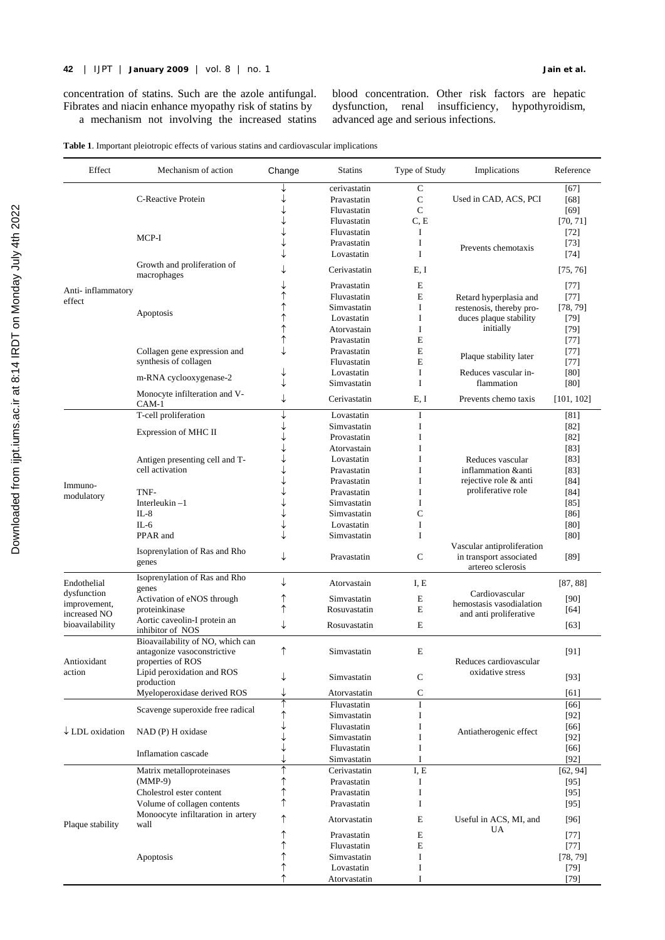concentration of statins. Such are the azole antifungal. Fibrates and niacin enhance myopathy risk of statins by a mechanism not involving the increased statins

dysfunction, renal insufficiency, hypothyroidism, advanced age and serious infections.

|  |  |  |  |  |  |  | Table 1. Important pleiotropic effects of various statins and cardiovascular implications |
|--|--|--|--|--|--|--|-------------------------------------------------------------------------------------------|
|--|--|--|--|--|--|--|-------------------------------------------------------------------------------------------|

| Effect                     | Mechanism of action                                             | Change | <b>Statins</b>             | Type of Study          | Implications                                                               | Reference          |
|----------------------------|-----------------------------------------------------------------|--------|----------------------------|------------------------|----------------------------------------------------------------------------|--------------------|
|                            |                                                                 |        | cerivastatin               | $\mathbf C$            |                                                                            | [67]               |
|                            | C-Reactive Protein                                              |        | Pravastatin                | $\mathbf C$            | Used in CAD, ACS, PCI                                                      | $[68]$             |
|                            |                                                                 |        | Fluvastatin                | $\mathsf{C}$           |                                                                            | [69]               |
|                            |                                                                 |        | Fluvastatin<br>Fluvastatin | C, E<br>I              |                                                                            | [70, 71]<br>$[72]$ |
|                            | MCP-I                                                           |        | Pravastatin                | I                      |                                                                            | $[73]$             |
|                            |                                                                 |        | Lovastatin                 | I                      | Prevents chemotaxis                                                        | [74]               |
|                            | Growth and proliferation of                                     |        | Cerivastatin               | E, I                   |                                                                            | [75, 76]           |
|                            | macrophages                                                     |        |                            |                        |                                                                            |                    |
| Anti-inflammatory          |                                                                 |        | Pravastatin<br>Fluvastatin | E<br>E                 |                                                                            | $[77]$<br>$[77]$   |
| effect                     |                                                                 |        | Simvastatin                | I                      | Retard hyperplasia and<br>restenosis, thereby pro-                         | [78, 79]           |
|                            | Apoptosis                                                       |        | Lovastatin                 | I                      | duces plaque stability                                                     | $[79]$             |
|                            |                                                                 | ↑      | Atorvastain                | I                      | initially                                                                  | $[79]$             |
|                            |                                                                 |        | Pravastatin                | E                      |                                                                            | $[77]$             |
|                            | Collagen gene expression and                                    |        | Pravastatin                | E                      |                                                                            | [77]               |
|                            | synthesis of collagen                                           |        | Fluvastatin                | E                      | Plaque stability later                                                     | [77]               |
|                            | m-RNA cyclooxygenase-2                                          | ↓      | Lovastatin                 | I                      | Reduces vascular in-                                                       | [80]               |
|                            |                                                                 |        | Simvastatin                | I                      | flammation                                                                 | [80]               |
|                            | Monocyte infilteration and V-<br>CAM-1                          | ↓      | Cerivastatin               | E, I                   | Prevents chemo taxis                                                       | [101, 102]         |
|                            | T-cell proliferation                                            | ↓      | Lovastatin                 | I                      |                                                                            | [81]               |
|                            | Expression of MHC II                                            |        | Simvastatin                | I                      |                                                                            | [82]               |
|                            |                                                                 |        | Provastatin                | I<br>I                 |                                                                            | [82]               |
|                            | Antigen presenting cell and T-                                  |        | Atorvastain<br>Lovastatin  | I                      | Reduces vascular                                                           | [83]<br>[83]       |
|                            | cell activation                                                 |        | Pravastatin                | I                      | inflammation & anti                                                        | [83]               |
|                            |                                                                 |        | Pravastatin                | I                      | rejective role & anti                                                      | [84]               |
| Immuno-                    | TNF-                                                            |        | Pravastatin                | I                      | proliferative role                                                         | [84]               |
| modulatory                 | Interleukin $-1$                                                |        | Simvastatin                | I                      |                                                                            | $[85]$             |
|                            | $IL-8$                                                          |        | Simvastatin                | C                      |                                                                            | [86]               |
|                            | $IL-6$                                                          |        | Lovastatin                 | I                      |                                                                            | [80]               |
|                            | PPAR and                                                        |        | Simvastatin                | $\mathbf{I}$           |                                                                            | [80]               |
|                            | Isoprenylation of Ras and Rho<br>genes                          | ↓      | Pravastatin                | $\mathsf{C}$           | Vascular antiproliferation<br>in transport associated<br>artereo sclerosis | $[89]$             |
| Endothelial                | Isoprenylation of Ras and Rho                                   | ↓      | Atorvastain                | I, E                   |                                                                            | [87, 88]           |
| dysfunction                | genes                                                           |        | Simvastatin                |                        | Cardiovascular                                                             |                    |
| improvement,               | Activation of eNOS through<br>proteinkinase                     | ↑<br>↑ | Rosuvastatin               | E<br>E                 | hemostasis vasodialation                                                   | [90]               |
| increased NO               | Aortic caveolin-I protein an                                    |        |                            |                        | and anti proliferative                                                     | [64]               |
| bioavailability            | inhibitor of NOS                                                | ↓      | Rosuvastatin               | E                      |                                                                            | [63]               |
|                            | Bioavailability of NO, which can<br>antagonize vasoconstrictive | ↑      | Simvastatin                | E                      |                                                                            | [91]               |
| Antioxidant                | properties of ROS                                               |        |                            |                        | Reduces cardiovascular                                                     |                    |
| action                     | Lipid peroxidation and ROS                                      |        | Simvastatin                | C                      | oxidative stress                                                           | $[93]$             |
|                            | production                                                      |        |                            |                        |                                                                            |                    |
|                            | Myeloperoxidase derived ROS                                     | ↑      | Atorvastatin               | $\mathbf C$<br>$\bf I$ |                                                                            | [61]               |
|                            | Scavenge superoxide free radical                                | ↑      | Fluvastatin<br>Simvastatin | I                      |                                                                            | [66]<br>$[92]$     |
|                            |                                                                 |        | Fluvastatin                | I                      |                                                                            | [66]               |
| $\downarrow$ LDL oxidation | NAD (P) H oxidase                                               |        | Simvastatin                | I                      | Antiatherogenic effect                                                     | $[92]$             |
|                            |                                                                 |        | Fluvastatin                | I                      |                                                                            | [66]               |
|                            | Inflamation cascade                                             |        | Simvastatin                | I                      |                                                                            | $[92]$             |
|                            | Matrix metalloproteinases                                       | ↑      | Cerivastatin               | I, E                   |                                                                            | [62, 94]           |
|                            | (MMP-9)                                                         | ↑      | Pravastatin                | I                      |                                                                            | $[95]$             |
|                            | Cholestrol ester content                                        | ↑      | Pravastatin                | I                      |                                                                            | $[95]$             |
|                            | Volume of collagen contents                                     | ↑      | Pravastatin                | I                      |                                                                            | $[95]$             |
| Plaque stability           | Monoocyte infiltaration in artery<br>wall                       | ↑      | Atorvastatin               | E                      | Useful in ACS, MI, and                                                     | [96]               |
|                            |                                                                 | ↑      | Pravastatin                | E                      | UA                                                                         | $[77]$             |
|                            |                                                                 | ↑      | Fluvastatin                | E                      |                                                                            | $[77]$             |
|                            | Apoptosis                                                       |        | Simvastatin                | I                      |                                                                            | [78, 79]           |
|                            |                                                                 |        | Lovastatin                 | I                      |                                                                            | $[79]$             |
|                            |                                                                 |        | Atorvastatin               | I                      |                                                                            | $[79]$             |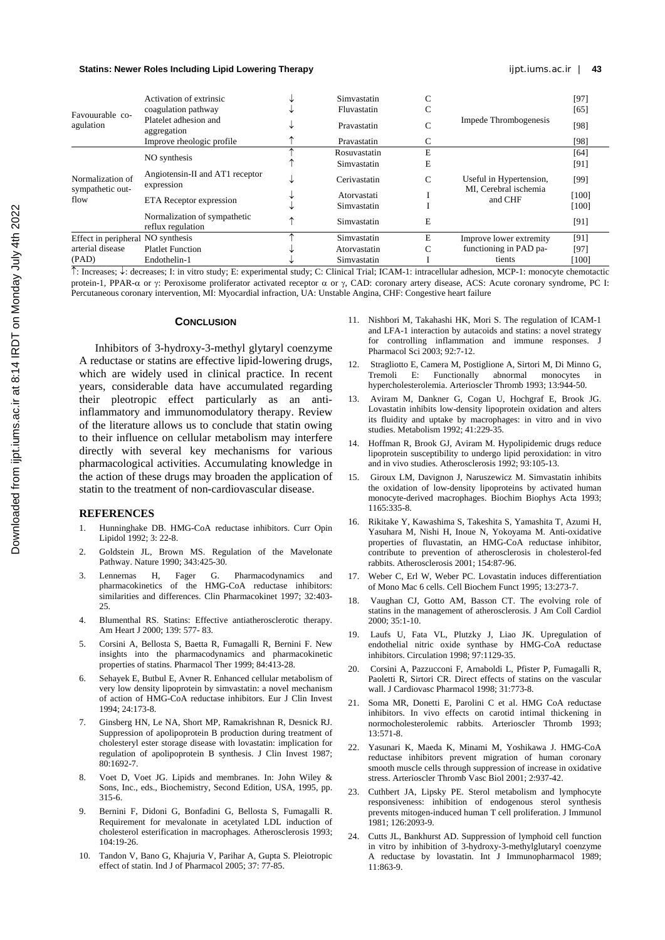| coagulation pathway<br>Fluvastatin<br>[65]<br>Favouurable co-<br>Platelet adhesion and<br>Impede Thrombogenesis<br>agulation<br>[98]<br>$\sim$<br>Pravastatin<br>U<br>aggregation<br>Improve rheologic profile<br>[98]<br>С<br>Pravastatin<br>E<br>[64]<br>Rosuvastatin<br>NO synthesis<br>E<br>Simvastatin<br>[91]<br>Angiotensin-II and AT1 receptor<br>Normalization of<br>Useful in Hypertension,<br>Cerivastatin<br>C<br>[99]<br>◡<br>expression<br>sympathetic out-<br>MI, Cerebral ischemia<br>[100]<br>Atorvastati<br>and CHF<br>flow<br>ETA Receptor expression<br>Simvastatin<br>[100]<br>Normalization of sympathetic<br>E<br>Simvastatin<br>$[91]$<br>reflux regulation<br>E<br>Effect in peripheral NO synthesis<br>[91]<br>Simvastatin<br>Improve lower extremity<br>arterial disease<br><b>Platlet Function</b><br>C<br>functioning in PAD pa-<br>Atorvastatin<br>[97]<br>(PAD)<br>Endothelin-1<br>tients<br>$[100]$<br>Simvastatin |  | Activation of extrinsic |  | Simvastatin |  |  | $[97]$ |
|----------------------------------------------------------------------------------------------------------------------------------------------------------------------------------------------------------------------------------------------------------------------------------------------------------------------------------------------------------------------------------------------------------------------------------------------------------------------------------------------------------------------------------------------------------------------------------------------------------------------------------------------------------------------------------------------------------------------------------------------------------------------------------------------------------------------------------------------------------------------------------------------------------------------------------------------------|--|-------------------------|--|-------------|--|--|--------|
|                                                                                                                                                                                                                                                                                                                                                                                                                                                                                                                                                                                                                                                                                                                                                                                                                                                                                                                                                    |  |                         |  |             |  |  |        |
|                                                                                                                                                                                                                                                                                                                                                                                                                                                                                                                                                                                                                                                                                                                                                                                                                                                                                                                                                    |  |                         |  |             |  |  |        |
|                                                                                                                                                                                                                                                                                                                                                                                                                                                                                                                                                                                                                                                                                                                                                                                                                                                                                                                                                    |  |                         |  |             |  |  |        |
|                                                                                                                                                                                                                                                                                                                                                                                                                                                                                                                                                                                                                                                                                                                                                                                                                                                                                                                                                    |  |                         |  |             |  |  |        |
|                                                                                                                                                                                                                                                                                                                                                                                                                                                                                                                                                                                                                                                                                                                                                                                                                                                                                                                                                    |  |                         |  |             |  |  |        |
|                                                                                                                                                                                                                                                                                                                                                                                                                                                                                                                                                                                                                                                                                                                                                                                                                                                                                                                                                    |  |                         |  |             |  |  |        |
|                                                                                                                                                                                                                                                                                                                                                                                                                                                                                                                                                                                                                                                                                                                                                                                                                                                                                                                                                    |  |                         |  |             |  |  |        |
|                                                                                                                                                                                                                                                                                                                                                                                                                                                                                                                                                                                                                                                                                                                                                                                                                                                                                                                                                    |  |                         |  |             |  |  |        |
|                                                                                                                                                                                                                                                                                                                                                                                                                                                                                                                                                                                                                                                                                                                                                                                                                                                                                                                                                    |  |                         |  |             |  |  |        |
|                                                                                                                                                                                                                                                                                                                                                                                                                                                                                                                                                                                                                                                                                                                                                                                                                                                                                                                                                    |  |                         |  |             |  |  |        |
|                                                                                                                                                                                                                                                                                                                                                                                                                                                                                                                                                                                                                                                                                                                                                                                                                                                                                                                                                    |  |                         |  |             |  |  |        |
|                                                                                                                                                                                                                                                                                                                                                                                                                                                                                                                                                                                                                                                                                                                                                                                                                                                                                                                                                    |  |                         |  |             |  |  |        |

↑: Increases; ↓: decreases; I: in vitro study; E: experimental study; C: Clinical Trial; ICAM-1: intracellular adhesion, MCP-1: monocyte chemotactic protein-1, PPAR-α or γ: Peroxisome proliferator activated receptor α or γ, CAD: coronary artery disease, ACS: Acute coronary syndrome, PC I: Percutaneous coronary intervention, MI: Myocardial infraction, UA: Unstable Angina, CHF: Congestive heart failure

#### **CONCLUSION**

Inhibitors of 3-hydroxy-3-methyl glytaryl coenzyme A reductase or statins are effective lipid-lowering drugs, which are widely used in clinical practice. In recent years, considerable data have accumulated regarding their pleotropic effect particularly as an antiinflammatory and immunomodulatory therapy. Review of the literature allows us to conclude that statin owing to their influence on cellular metabolism may interfere directly with several key mechanisms for various pharmacological activities. Accumulating knowledge in the action of these drugs may broaden the application of statin to the treatment of non-cardiovascular disease.

#### **REFERENCES**

- 1. Hunninghake DB. HMG-CoA reductase inhibitors. Curr Opin Lipidol 1992; 3: 22-8.
- 2. Goldstein JL, Brown MS. Regulation of the Mavelonate Pathway. Nature 1990; 343:425-30.
- 3. Lennernas H, Fager G. Pharmacodynamics and pharmacokinetics of the HMG-CoA reductase inhibitors: similarities and differences. Clin Pharmacokinet 1997; 32:403- 25.
- 4. Blumenthal RS. Statins: Effective antiatherosclerotic therapy. Am Heart J 2000; 139: 577- 83.
- 5. Corsini A, Bellosta S, Baetta R, Fumagalli R, Bernini F. New insights into the pharmacodynamics and pharmacokinetic properties of statins. Pharmacol Ther 1999; 84:413-28.
- 6. Sehayek E, Butbul E, Avner R. Enhanced cellular metabolism of very low density lipoprotein by simvastatin: a novel mechanism of action of HMG-CoA reductase inhibitors. Eur J Clin Invest 1994; 24:173-8.
- 7. Ginsberg HN, Le NA, Short MP, Ramakrishnan R, Desnick RJ. Suppression of apolipoprotein B production during treatment of cholesteryl ester storage disease with lovastatin: implication for regulation of apolipoprotein B synthesis. J Clin Invest 1987; 80:1692-7.
- 8. Voet D, Voet JG. Lipids and membranes. In: John Wiley & Sons, Inc., eds., Biochemistry, Second Edition, USA, 1995, pp. 315-6.
- 9. Bernini F, Didoni G, Bonfadini G, Bellosta S, Fumagalli R. Requirement for mevalonate in acetylated LDL induction of cholesterol esterification in macrophages. Atherosclerosis 1993; 104:19-26.
- 10. Tandon V, Bano G, Khajuria V, Parihar A, Gupta S. Pleiotropic effect of statin. Ind J of Pharmacol 2005; 37: 77-85.
- 11. Nishbori M, Takahashi HK, Mori S. The regulation of ICAM-1 and LFA-1 interaction by autacoids and statins: a novel strategy for controlling inflammation and immune responses. J Pharmacol Sci 2003; 92:7-12.
- 12. Stragliotto E, Camera M, Postiglione A, Sirtori M, Di Minno G, Tremoli E: Functionally abnormal monocytes hypercholesterolemia. Arterioscler Thromb 1993; 13:944-50.
- 13. Aviram M, Dankner G, Cogan U, Hochgraf E, Brook JG. Lovastatin inhibits low-density lipoprotein oxidation and alters its fluidity and uptake by macrophages: in vitro and in vivo studies. Metabolism 1992; 41:229-35.
- 14. Hoffman R, Brook GJ, Aviram M. Hypolipidemic drugs reduce lipoprotein susceptibility to undergo lipid peroxidation: in vitro and in vivo studies. Atherosclerosis 1992; 93:105-13.
- 15. Giroux LM, Davignon J, Naruszewicz M. Simvastatin inhibits the oxidation of low-density lipoproteins by activated human monocyte-derived macrophages. Biochim Biophys Acta 1993; 1165:335-8.
- 16. Rikitake Y, Kawashima S, Takeshita S, Yamashita T, Azumi H, Yasuhara M, Nishi H, Inoue N, Yokoyama M. Anti-oxidative properties of fluvastatin, an HMG-CoA reductase inhibitor, contribute to prevention of atherosclerosis in cholesterol-fed rabbits. Atherosclerosis 2001; 154:87-96.
- 17. Weber C, Erl W, Weber PC. Lovastatin induces differentiation of Mono Mac 6 cells. Cell Biochem Funct 1995; 13:273-7.
- 18. Vaughan CJ, Gotto AM, Basson CT. The evolving role of statins in the management of atherosclerosis. J Am Coll Cardiol  $2000: 35:1-10$ .
- 19. Laufs U, Fata VL, Plutzky J, Liao JK. Upregulation of endothelial nitric oxide synthase by HMG-CoA reductase inhibitors. Circulation 1998; 97:1129-35.
- 20. Corsini A, Pazzucconi F, Arnaboldi L, Pfister P, Fumagalli R, Paoletti R, Sirtori CR. Direct effects of statins on the vascular wall. J Cardiovasc Pharmacol 1998; 31:773-8.
- 21. Soma MR, Donetti E, Parolini C et al. HMG CoA reductase inhibitors. In vivo effects on carotid intimal thickening in normocholesterolemic rabbits. Arterioscler Thromb 1993; 13:571-8.
- 22. Yasunari K, Maeda K, Minami M, Yoshikawa J. HMG-CoA reductase inhibitors prevent migration of human coronary smooth muscle cells through suppression of increase in oxidative stress. Arterioscler Thromb Vasc Biol 2001; 2:937-42.
- 23. Cuthbert JA, Lipsky PE. Sterol metabolism and lymphocyte responsiveness: inhibition of endogenous sterol synthesis prevents mitogen-induced human T cell proliferation. J Immunol 1981; 126:2093-9.
- Cutts JL, Bankhurst AD. Suppression of lymphoid cell function in vitro by inhibition of 3-hydroxy-3-methylglutaryl coenzyme A reductase by lovastatin. Int J Immunopharmacol 1989; 11:863-9.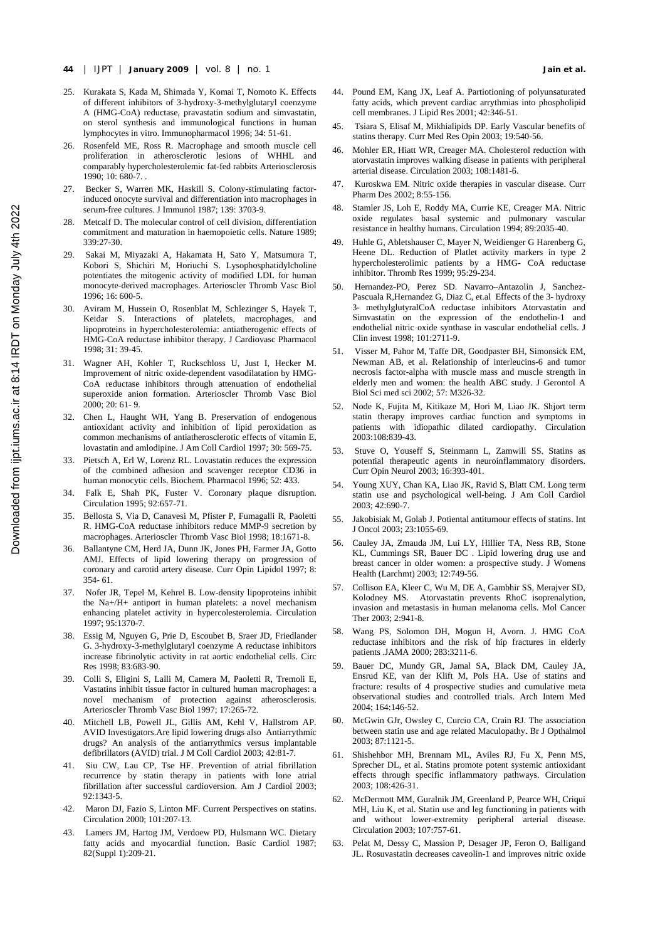- **44** | IJPT | **January 2009** | vol. 8 | no. 1**Jain et al.**
- 25. Kurakata S, Kada M, Shimada Y, Komai T, Nomoto K. Effects of different inhibitors of 3-hydroxy-3-methylglutaryl coenzyme A (HMG-CoA) reductase, pravastatin sodium and simvastatin, on sterol synthesis and immunological functions in human lymphocytes in vitro. Immunopharmacol 1996; 34: 51-61.
- 26. Rosenfeld ME, Ross R. Macrophage and smooth muscle cell proliferation in atherosclerotic lesions of WHHL and comparably hypercholesterolemic fat-fed rabbits Arteriosclerosis  $1990: 10: 680-7$
- 27. Becker S, Warren MK, Haskill S. Colony-stimulating factorinduced onocyte survival and differentiation into macrophages in serum-free cultures. J Immunol 1987; 139: 3703-9.
- 28. Metcalf D. The molecular control of cell division, differentiation commitment and maturation in haemopoietic cells. Nature 1989; 339:27-30.
- 29. Sakai M, Miyazaki A, Hakamata H, Sato Y, Matsumura T, Kobori S, Shichiri M, Horiuchi S. Lysophosphatidylcholine potentiates the mitogenic activity of modified LDL for human monocyte-derived macrophages. Arterioscler Thromb Vasc Biol 1996; 16: 600-5.
- 30. Aviram M, Hussein O, Rosenblat M, Schlezinger S, Hayek T, Keidar S. Interactions of platelets, macrophages, and lipoproteins in hypercholesterolemia: antiatherogenic effects of HMG-CoA reductase inhibitor therapy. J Cardiovasc Pharmacol 1998; 31: 39-45.
- 31. Wagner AH, Kohler T, Ruckschloss U, Just I, Hecker M. Improvement of nitric oxide-dependent vasodilatation by HMG-CoA reductase inhibitors through attenuation of endothelial superoxide anion formation. Arterioscler Thromb Vasc Biol 2000; 20: 61- 9.
- 32. Chen L, Haught WH, Yang B. Preservation of endogenous antioxidant activity and inhibition of lipid peroxidation as common mechanisms of antiatherosclerotic effects of vitamin E, lovastatin and amlodipine. J Am Coll Cardiol 1997; 30: 569-75.
- 33. Pietsch A, Erl W, Lorenz RL. Lovastatin reduces the expression of the combined adhesion and scavenger receptor CD36 in human monocytic cells. Biochem. Pharmacol 1996; 52: 433.
- 34. Falk E, Shah PK, Fuster V. Coronary plaque disruption. Circulation 1995; 92:657-71.
- 35. Bellosta S, Via D, Canavesi M, Pfister P, Fumagalli R, Paoletti R. HMG-CoA reductase inhibitors reduce MMP-9 secretion by macrophages. Arterioscler Thromb Vasc Biol 1998; 18:1671-8.
- 36. Ballantyne CM, Herd JA, Dunn JK, Jones PH, Farmer JA, Gotto AMJ. Effects of lipid lowering therapy on progression of coronary and carotid artery disease. Curr Opin Lipidol 1997; 8: 354- 61.
- 37. Nofer JR, Tepel M, Kehrel B. Low-density lipoproteins inhibit the Na+/H+ antiport in human platelets: a novel mechanism enhancing platelet activity in hypercolesterolemia. Circulation 1997; 95:1370-7.
- 38. Essig M, Nguyen G, Prie D, Escoubet B, Sraer JD, Friedlander G. 3-hydroxy-3-methylglutaryl coenzyme A reductase inhibitors increase fibrinolytic activity in rat aortic endothelial cells. Circ Res 1998; 83:683-90.
- 39. Colli S, Eligini S, Lalli M, Camera M, Paoletti R, Tremoli E, Vastatins inhibit tissue factor in cultured human macrophages: a novel mechanism of protection against atherosclerosis. Arterioscler Thromb Vasc Biol 1997; 17:265-72.
- 40. Mitchell LB, Powell JL, Gillis AM, Kehl V, Hallstrom AP. AVID Investigators.Are lipid lowering drugs also Antiarrythmic drugs? An analysis of the antiarrythmics versus implantable defibrillators (AVID) trial. J M Coll Cardiol 2003; 42:81-7.
- 41. Siu CW, Lau CP, Tse HF. Prevention of atrial fibrillation recurrence by statin therapy in patients with lone atrial fibrillation after successful cardioversion. Am J Cardiol 2003; 92:1343-5.
- 42. Maron DJ, Fazio S, Linton MF. Current Perspectives on statins. Circulation 2000; 101:207-13.
- 43. Lamers JM, Hartog JM, Verdoew PD, Hulsmann WC. Dietary fatty acids and myocardial function. Basic Cardiol 1987; 82(Suppl 1):209-21.
- 44. Pound EM, Kang JX, Leaf A. Partiotioning of polyunsaturated fatty acids, which prevent cardiac arrythmias into phospholipid cell membranes. J Lipid Res 2001; 42:346-51.
- 45. Tsiara S, Elisaf M, Mikhialipids DP. Early Vascular benefits of statins therapy. Curr Med Res Opin 2003; 19:540-56.
- 46. Mohler ER, Hiatt WR, Creager MA. Cholesterol reduction with atorvastatin improves walking disease in patients with peripheral arterial disease. Circulation 2003; 108:1481-6.
- Kuroskwa EM. Nitric oxide therapies in vascular disease. Curr Pharm Des 2002; 8:55-156.
- 48. Stamler JS, Loh E, Roddy MA, Currie KE, Creager MA. Nitric oxide regulates basal systemic and pulmonary vascular resistance in healthy humans. Circulation 1994; 89:2035-40.
- 49. Huhle G, Abletshauser C, Mayer N, Weidienger G Harenberg G, Heene DL. Reduction of Platlet activity markers in type 2 hypercholesterolimic patients by a HMG- CoA reductase inhibitor. Thromb Res 1999; 95:29-234.
- 50. Hernandez-PO, Perez SD. Navarro–Antazolin J, Sanchez-Pascuala R,Hernandez G, Diaz C, et.al Effects of the 3- hydroxy 3- methylglutyralCoA reductase inhibitors Atorvastatin and Simvastatin on the expression of the endothelin-1 and endothelial nitric oxide synthase in vascular endothelial cells. J Clin invest 1998; 101:2711-9.
- 51. Visser M, Pahor M, Taffe DR, Goodpaster BH, Simonsick EM, Newman AB, et al. Relationship of interleucins-6 and tumor necrosis factor-alpha with muscle mass and muscle strength in elderly men and women: the health ABC study. J Gerontol A Biol Sci med sci 2002; 57: M326-32.
- 52. Node K, Fujita M, Kitikaze M, Hori M, Liao JK. Shjort term statin therapy improves cardiac function and symptoms in patients with idiopathic dilated cardiopathy. Circulation 2003:108:839-43.
- 53. Stuve O, Youseff S, Steinmann L, Zamwill SS. Statins as potential therapeutic agents in neuroinflammatory disorders. Curr Opin Neurol 2003; 16:393-401.
- 54. Young XUY, Chan KA, Liao JK, Ravid S, Blatt CM. Long term statin use and psychological well-being. J Am Coll Cardiol 2003; 42:690-7.
- 55. Jakobisiak M, Golab J. Potiental antitumour effects of statins. Int J Oncol 2003; 23:1055-69.
- 56. Cauley JA, Zmauda JM, Lui LY, Hillier TA, Ness RB, Stone KL, Cummings SR, Bauer DC . Lipid lowering drug use and breast cancer in older women: a prospective study. J Womens Health (Larchmt) 2003; 12:749-56.
- 57. Collison EA, Kleer C, Wu M, DE A, Gambhir SS, Merajver SD, Kolodney MS. Atorvastatin prevents RhoC isoprenalytion, invasion and metastasis in human melanoma cells. Mol Cancer Ther 2003; 2:941-8.
- 58. Wang PS, Solomon DH, Mogun H, Avorn. J. HMG CoA reductase inhibitors and the risk of hip fractures in elderly patients .JAMA 2000; 283:3211-6.
- 59. Bauer DC, Mundy GR, Jamal SA, Black DM, Cauley JA, Ensrud KE, van der Klift M, Pols HA. Use of statins and fracture: results of 4 prospective studies and cumulative meta observational studies and controlled trials. Arch Intern Med 2004; 164:146-52.
- 60. McGwin GJr, Owsley C, Curcio CA, Crain RJ. The association between statin use and age related Maculopathy. Br J Opthalmol 2003; 87:1121-5.
- Shishehbor MH, Brennam ML, Aviles RJ, Fu X, Penn MS, Sprecher DL, et al. Statins promote potent systemic antioxidant effects through specific inflammatory pathways. Circulation 2003; 108:426-31.
- 62. McDermott MM, Guralnik JM, Greenland P, Pearce WH, Criqui MH, Liu K, et al. Statin use and leg functioning in patients with and without lower-extremity peripheral arterial disease. Circulation 2003; 107:757-61.
- 63. Pelat M, Dessy C, Massion P, Desager JP, Feron O, Balligand JL. Rosuvastatin decreases caveolin-1 and improves nitric oxide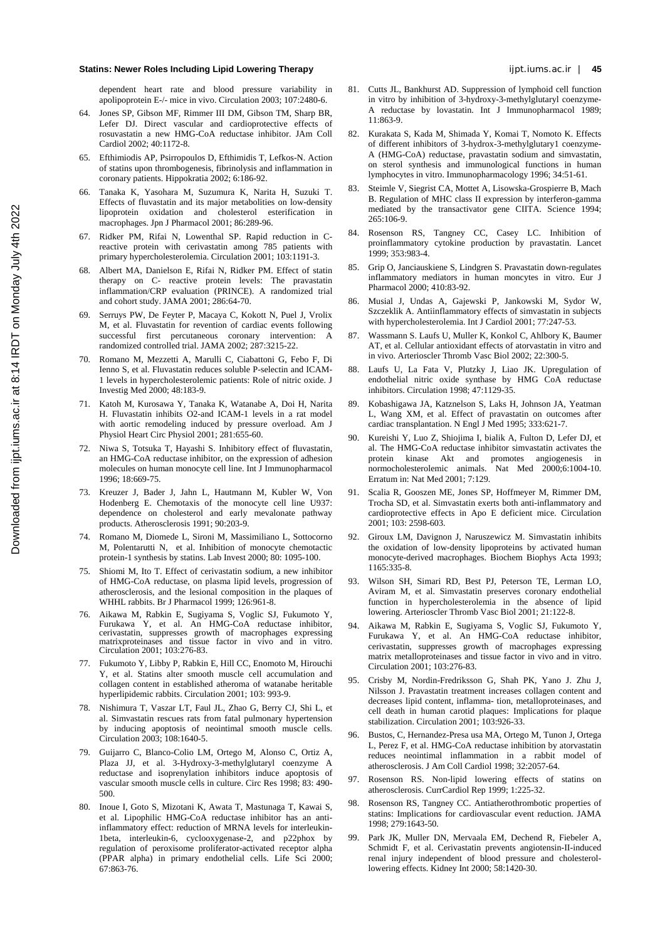dependent heart rate and blood pressure variability in apolipoprotein E-/- mice in vivo. Circulation 2003; 107:2480-6.

- 64. Jones SP, Gibson MF, Rimmer III DM, Gibson TM, Sharp BR, Lefer DJ. Direct vascular and cardioprotective effects of rosuvastatin a new HMG-CoA reductase inhibitor. JAm Coll Cardiol 2002; 40:1172-8.
- 65. Efthimiodis AP, Psirropoulos D, Efthimidis T, Lefkos-N. Action of statins upon thrombogenesis, fibrinolysis and inflammation in coronary patients. Hippokratia 2002; 6:186-92.
- 66. Tanaka K, Yasohara M, Suzumura K, Narita H, Suzuki T. Effects of fluvastatin and its major metabolities on low-density lipoprotein oxidation and cholesterol esterification in macrophages. Jpn J Pharmacol 2001; 86:289-96.
- 67. Ridker PM, Rifai N, Lowenthal SP. Rapid reduction in Creactive protein with cerivastatin among 785 patients with primary hypercholesterolemia. Circulation 2001; 103:1191-3.
- 68. Albert MA, Danielson E, Rifai N, Ridker PM. Effect of statin therapy on C- reactive protein levels: The pravastatin inflammation/CRP evaluation (PRINCE). A randomized trial and cohort study. JAMA 2001; 286:64-70.
- 69. Serruys PW, De Feyter P, Macaya C, Kokott N, Puel J, Vrolix M, et al. Fluvastatin for revention of cardiac events following successful first percutaneous coronary intervention: A randomized controlled trial. JAMA 2002; 287:3215-22.
- 70. Romano M, Mezzetti A, Marulli C, Ciabattoni G, Febo F, Di Ienno S, et al. Fluvastatin reduces soluble P-selectin and ICAM-1 levels in hypercholesterolemic patients: Role of nitric oxide. J Investig Med 2000; 48:183-9.
- 71. Katoh M, Kurosawa Y, Tanaka K, Watanabe A, Doi H, Narita H. Fluvastatin inhibits O2-and ICAM-1 levels in a rat model with aortic remodeling induced by pressure overload. Am J Physiol Heart Circ Physiol 2001; 281:655-60.
- 72. Niwa S, Totsuka T, Hayashi S. Inhibitory effect of fluvastatin, an HMG-CoA reductase inhibitor, on the expression of adhesion molecules on human monocyte cell line. Int J Immunopharmacol 1996; 18:669-75.
- 73. Kreuzer J, Bader J, Jahn L, Hautmann M, Kubler W, Von Hodenberg E. Chemotaxis of the monocyte cell line U937: dependence on cholesterol and early mevalonate pathway products. Atherosclerosis 1991; 90:203-9.
- 74. Romano M, Diomede L, Sironi M, Massimiliano L, Sottocorno M, Polentarutti N, et al. Inhibition of monocyte chemotactic protein-1 synthesis by statins. Lab Invest 2000; 80: 1095-100.
- 75. Shiomi M, Ito T. Effect of cerivastatin sodium, a new inhibitor of HMG-CoA reductase, on plasma lipid levels, progression of atherosclerosis, and the lesional composition in the plaques of WHHL rabbits. Br J Pharmacol 1999; 126:961-8.
- 76. Aikawa M, Rabkin E, Sugiyama S, Voglic SJ, Fukumoto Y, Furukawa Y, et al. An HMG-CoA reductase inhibitor, cerivastatin, suppresses growth of macrophages expressing matrixproteinases and tissue factor in vivo and in vitro. Circulation 2001; 103:276-83.
- 77. Fukumoto Y, Libby P, Rabkin E, Hill CC, Enomoto M, Hirouchi Y, et al. Statins alter smooth muscle cell accumulation and collagen content in established atheroma of watanabe heritable hyperlipidemic rabbits. Circulation 2001; 103: 993-9.
- 78. Nishimura T, Vaszar LT, Faul JL, Zhao G, Berry CJ, Shi L, et al. Simvastatin rescues rats from fatal pulmonary hypertension by inducing apoptosis of neointimal smooth muscle cells. Circulation 2003; 108:1640-5.
- 79. Guijarro C, Blanco-Colio LM, Ortego M, Alonso C, Ortiz A, Plaza JJ, et al. 3-Hydroxy-3-methylglutaryl coenzyme A reductase and isoprenylation inhibitors induce apoptosis of vascular smooth muscle cells in culture. Circ Res 1998; 83: 490- 500.
- 80. Inoue I, Goto S, Mizotani K, Awata T, Mastunaga T, Kawai S, et al. Lipophilic HMG-CoA reductase inhibitor has an antiinflammatory effect: reduction of MRNA levels for interleukin-1beta, interleukin-6, cyclooxygenase-2, and p22phox by regulation of peroxisome proliferator-activated receptor alpha (PPAR alpha) in primary endothelial cells. Life Sci 2000; 67:863-76.
- 81. Cutts JL, Bankhurst AD. Suppression of lymphoid cell function in vitro by inhibition of 3-hydroxy-3-methylglutaryl coenzyme-A reductase by lovastatin. Int J Immunopharmacol 1989; 11:863-9.
- 82. Kurakata S, Kada M, Shimada Y, Komai T, Nomoto K. Effects of different inhibitors of 3-hydrox-3-methylglutary1 coenzyme-A (HMG-CoA) reductase, pravastatin sodium and simvastatin, on sterol synthesis and immunological functions in human lymphocytes in vitro. Immunopharmacology 1996; 34:51-61.
- 83. Steimle V, Siegrist CA, Mottet A, Lisowska-Grospierre B, Mach B. Regulation of MHC class II expression by interferon-gamma mediated by the transactivator gene CIITA. Science 1994; 265:106-9.
- 84. Rosenson RS, Tangney CC, Casey LC. Inhibition of proinflammatory cytokine production by pravastatin. Lancet 1999; 353:983-4.
- 85. Grip O, Janciauskiene S, Lindgren S. Pravastatin down-regulates inflammatory mediators in human moncytes in vitro. Eur J Pharmacol 2000; 410:83-92.
- 86. Musial J, Undas A, Gajewski P, Jankowski M, Sydor W, Szczeklik A. Antiinflammatory effects of simvastatin in subjects with hypercholesterolemia. Int J Cardiol 2001; 77:247-53.
- 87. Wassmann S. Laufs U, Muller K, Konkol C, Ahlbory K, Baumer AT, et al. Cellular antioxidant effects of atorvastatin in vitro and in vivo. Arterioscler Thromb Vasc Biol 2002; 22:300-5.
- 88. Laufs U, La Fata V, Plutzky J, Liao JK. Upregulation of endothelial nitric oxide synthase by HMG CoA reductase inhibitors. Circulation 1998; 47:1129-35.
- 89. Kobashigawa JA, Katznelson S, Laks H, Johnson JA, Yeatman L, Wang XM, et al. Effect of pravastatin on outcomes after cardiac transplantation. N Engl J Med 1995; 333:621-7.
- 90. Kureishi Y, Luo Z, Shiojima I, bialik A, Fulton D, Lefer DJ, et al. The HMG-CoA reductase inhibitor simvastatin activates the protein kinase Akt and promotes angiogenesis in normocholesterolemic animals. Nat Med 2000;6:1004-10. Erratum in: Nat Med 2001; 7:129.
- 91. Scalia R, Gooszen ME, Jones SP, Hoffmeyer M, Rimmer DM, Trocha SD, et al. Simvastatin exerts both anti-inflammatory and cardioprotective effects in Apo E deficient mice. Circulation 2001; 103: 2598-603.
- 92. Giroux LM, Davignon J, Naruszewicz M. Simvastatin inhibits the oxidation of low-density lipoproteins by activated human monocyte-derived macrophages. Biochem Biophys Acta 1993; 1165:335-8.
- 93. Wilson SH, Simari RD, Best PJ, Peterson TE, Lerman LO, Aviram M, et al. Simvastatin preserves coronary endothelial function in hypercholesterolemia in the absence of lipid lowering. Arterioscler Thromb Vasc Biol 2001; 21:122-8.
- 94. Aikawa M, Rabkin E, Sugiyama S, Voglic SJ, Fukumoto Y, Furukawa Y, et al. An HMG-CoA reductase inhibitor, cerivastatin, suppresses growth of macrophages expressing matrix metalloproteinases and tissue factor in vivo and in vitro. Circulation 2001; 103:276-83.
- 95. Crisby M, Nordin-Fredriksson G, Shah PK, Yano J. Zhu J, Nilsson J. Pravastatin treatment increases collagen content and decreases lipid content, inflamma- tion, metalloproteinases, and cell death in human carotid plaques: Implications for plaque stabilization. Circulation 2001; 103:926-33.
- 96. Bustos, C, Hernandez-Presa usa MA, Ortego M, Tunon J, Ortega L, Perez F, et al. HMG-CoA reductase inhibition by atorvastatin reduces neointimal inflammation in a rabbit model of atherosclerosis. J Am Coll Cardiol 1998; 32:2057-64.
- 97. Rosenson RS. Non-lipid lowering effects of statins on atherosclerosis. CurrCardiol Rep 1999; 1:225-32.
- 98. Rosenson RS, Tangney CC. Antiatherothrombotic properties of statins: Implications for cardiovascular event reduction. JAMA 1998; 279:1643-50.
- 99. Park JK, Muller DN, Mervaala EM, Dechend R, Fiebeler A, Schmidt F, et al. Cerivastatin prevents angiotensin-II-induced renal injury independent of blood pressure and cholesterollowering effects. Kidney Int 2000; 58:1420-30.